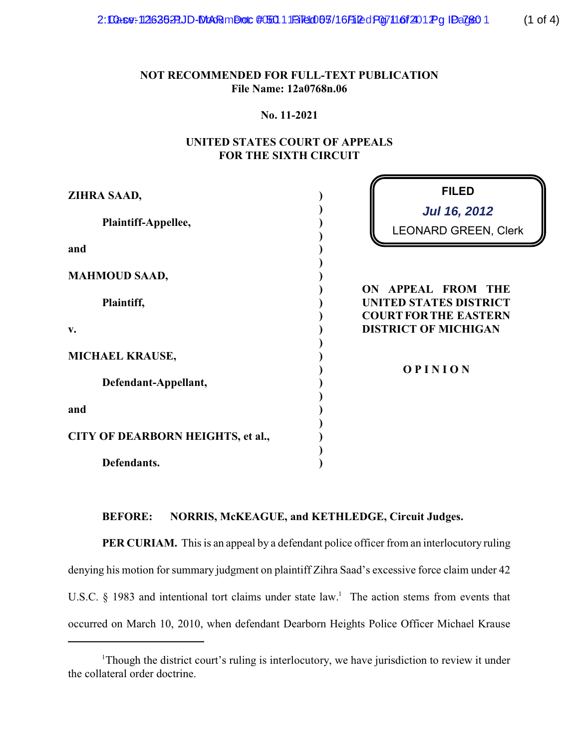2: Case: 12635 PLJD-MAR mDoc # 60111 B160 65/16 Filed Pg 7 11 6 f 201 Pg ID a 760 1 (1 of 4)

# **NOT RECOMMENDED FOR FULL-TEXT PUBLICATION File Name: 12a0768n.06**

#### **No. 11-2021**

# **UNITED STATES COURT OF APPEALS FOR THE SIXTH CIRCUIT**

| ZIHRA SAAD,                       | <b>FILED</b>                                                                        |
|-----------------------------------|-------------------------------------------------------------------------------------|
| Plaintiff-Appellee,               | <b>Jul 16, 2012</b><br><b>LEONARD GREEN, Clerk</b>                                  |
| and                               |                                                                                     |
| <b>MAHMOUD SAAD,</b>              |                                                                                     |
| Plaintiff,                        | ON APPEAL FROM THE<br><b>UNITED STATES DISTRICT</b><br><b>COURT FOR THE EASTERN</b> |
| v.                                | <b>DISTRICT OF MICHIGAN</b>                                                         |
| MICHAEL KRAUSE,                   | <b>OPINION</b>                                                                      |
| Defendant-Appellant,              |                                                                                     |
| and                               |                                                                                     |
| CITY OF DEARBORN HEIGHTS, et al., |                                                                                     |
| Defendants.                       |                                                                                     |

### **BEFORE: NORRIS, McKEAGUE, and KETHLEDGE, Circuit Judges.**

**PER CURIAM.** This is an appeal by a defendant police officer from an interlocutory ruling denying his motion for summary judgment on plaintiff Zihra Saad's excessive force claim under 42 U.S.C.  $\S$  1983 and intentional tort claims under state law.<sup>1</sup> The action stems from events that occurred on March 10, 2010, when defendant Dearborn Heights Police Officer Michael Krause

 $1$ Though the district court's ruling is interlocutory, we have jurisdiction to review it under the collateral order doctrine.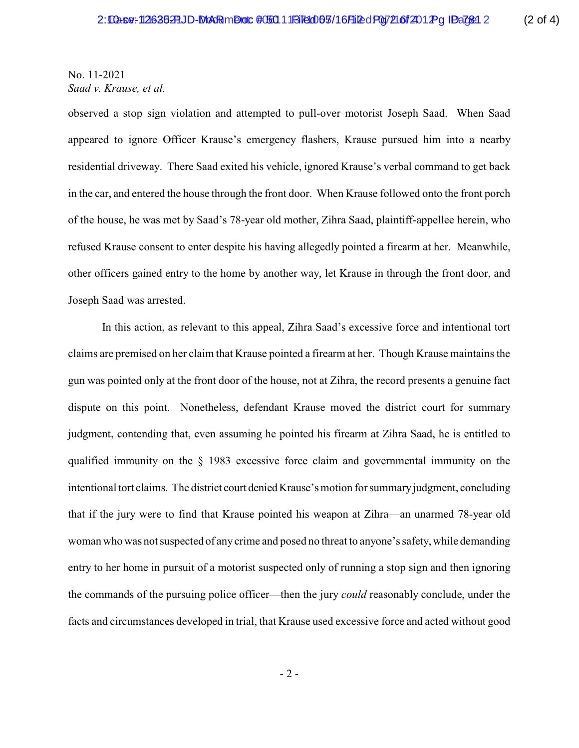No. 11-2021 *Saad v. Krause, et al.*

observed a stop sign violation and attempted to pull-over motorist Joseph Saad. When Saad appeared to ignore Officer Krause's emergency flashers, Krause pursued him into a nearby residential driveway. There Saad exited his vehicle, ignored Krause's verbal command to get back in the car, and entered the house through the front door. When Krause followed onto the front porch of the house, he was met by Saad's 78-year old mother, Zihra Saad, plaintiff-appellee herein, who refused Krause consent to enter despite his having allegedly pointed a firearm at her. Meanwhile, other officers gained entry to the home by another way, let Krause in through the front door, and Joseph Saad was arrested.

In this action, as relevant to this appeal, Zihra Saad's excessive force and intentional tort claims are premised on her claim that Krause pointed a firearm at her. Though Krause maintains the gun was pointed only at the front door of the house, not at Zihra, the record presents a genuine fact dispute on this point. Nonetheless, defendant Krause moved the district court for summary judgment, contending that, even assuming he pointed his firearm at Zihra Saad, he is entitled to qualified immunity on the § 1983 excessive force claim and governmental immunity on the intentional tort claims. The district court denied Krause's motion for summary judgment, concluding that if the jury were to find that Krause pointed his weapon at Zihra—an unarmed 78-year old woman who was not suspected of any crime and posed no threat to anyone's safety, while demanding entry to her home in pursuit of a motorist suspected only of running a stop sign and then ignoring the commands of the pursuing police officer—then the jury *could* reasonably conclude, under the facts and circumstances developed in trial, that Krause used excessive force and acted without good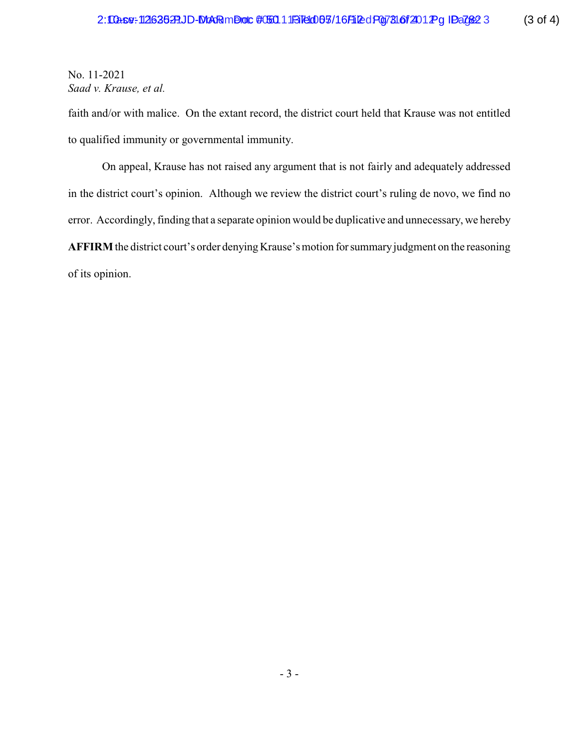No. 11-2021 *Saad v. Krause, et al.*

faith and/or with malice. On the extant record, the district court held that Krause was not entitled to qualified immunity or governmental immunity.

On appeal, Krause has not raised any argument that is not fairly and adequately addressed in the district court's opinion. Although we review the district court's ruling de novo, we find no error. Accordingly, finding that a separate opinion would be duplicative and unnecessary, we hereby **AFFIRM** the district court's order denying Krause's motion forsummaryjudgment on the reasoning of its opinion.